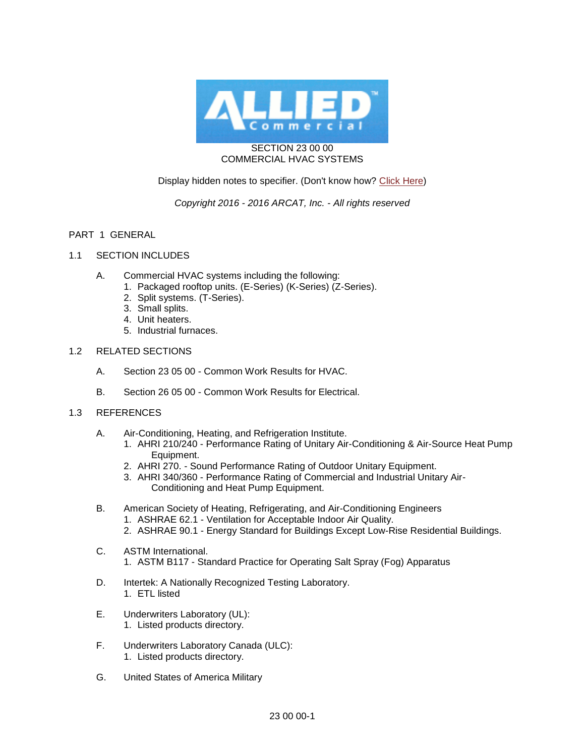

### SECTION 23 00 00 COMMERCIAL HVAC SYSTEMS

# Display hidden notes to specifier. (Don't know how? [Click Here\)](http://www.arcat.com/sd/display_hidden_notes.shtml)

# *Copyright 2016 - 2016 ARCAT, Inc. - All rights reserved*

## PART 1 GENERAL

- 1.1 SECTION INCLUDES
	- A. Commercial HVAC systems including the following:
		- 1. Packaged rooftop units. (E-Series) (K-Series) (Z-Series).
		- 2. Split systems. (T-Series).
		- 3. Small splits.
		- 4. Unit heaters.
		- 5. Industrial furnaces.

#### 1.2 RELATED SECTIONS

- A. Section 23 05 00 Common Work Results for HVAC.
- B. Section 26 05 00 Common Work Results for Electrical.
- 1.3 REFERENCES
	- A. Air-Conditioning, Heating, and Refrigeration Institute.
		- 1. AHRI 210/240 Performance Rating of Unitary Air-Conditioning & Air-Source Heat Pump Equipment.
		- 2. AHRI 270. Sound Performance Rating of Outdoor Unitary Equipment.
		- 3. AHRI 340/360 Performance Rating of Commercial and Industrial Unitary Air-Conditioning and Heat Pump Equipment.
	- B. American Society of Heating, Refrigerating, and Air-Conditioning Engineers
		- 1. ASHRAE 62.1 Ventilation for Acceptable Indoor Air Quality.
		- 2. ASHRAE 90.1 Energy Standard for Buildings Except Low-Rise Residential Buildings.
	- C. ASTM International.
		- 1. ASTM B117 Standard Practice for Operating Salt Spray (Fog) Apparatus
	- D. Intertek: A Nationally Recognized Testing Laboratory. 1. ETL listed
	- E. Underwriters Laboratory (UL): 1. Listed products directory.
	- F. Underwriters Laboratory Canada (ULC): 1. Listed products directory.
	- G. United States of America Military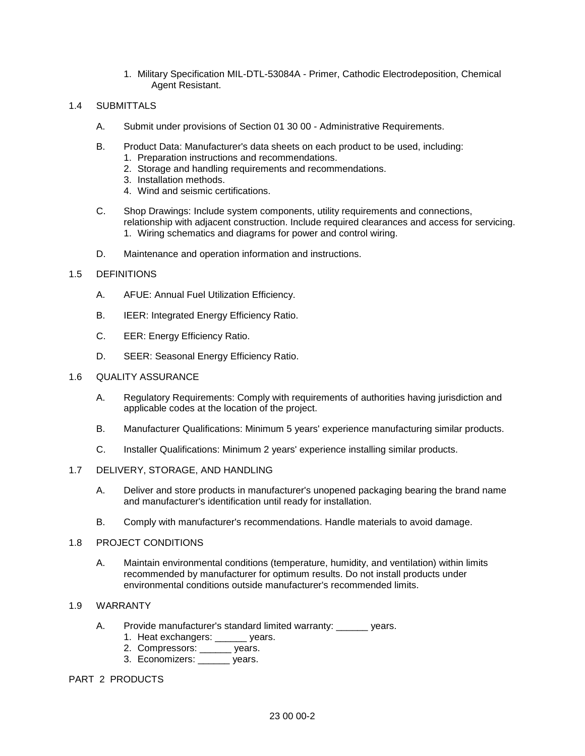1. Military Specification MIL-DTL-53084A - Primer, Cathodic Electrodeposition, Chemical Agent Resistant.

#### 1.4 SUBMITTALS

- A. Submit under provisions of Section 01 30 00 Administrative Requirements.
- B. Product Data: Manufacturer's data sheets on each product to be used, including:
	- 1. Preparation instructions and recommendations.
	- 2. Storage and handling requirements and recommendations.
	- 3. Installation methods.
	- 4. Wind and seismic certifications.
- C. Shop Drawings: Include system components, utility requirements and connections, relationship with adjacent construction. Include required clearances and access for servicing. 1. Wiring schematics and diagrams for power and control wiring.
- D. Maintenance and operation information and instructions.

#### 1.5 DEFINITIONS

- A. AFUE: Annual Fuel Utilization Efficiency.
- B. IEER: Integrated Energy Efficiency Ratio.
- C. EER: Energy Efficiency Ratio.
- D. SEER: Seasonal Energy Efficiency Ratio.

#### 1.6 QUALITY ASSURANCE

- A. Regulatory Requirements: Comply with requirements of authorities having jurisdiction and applicable codes at the location of the project.
- B. Manufacturer Qualifications: Minimum 5 years' experience manufacturing similar products.
- C. Installer Qualifications: Minimum 2 years' experience installing similar products.

#### 1.7 DELIVERY, STORAGE, AND HANDLING

- A. Deliver and store products in manufacturer's unopened packaging bearing the brand name and manufacturer's identification until ready for installation.
- B. Comply with manufacturer's recommendations. Handle materials to avoid damage.

#### 1.8 PROJECT CONDITIONS

A. Maintain environmental conditions (temperature, humidity, and ventilation) within limits recommended by manufacturer for optimum results. Do not install products under environmental conditions outside manufacturer's recommended limits.

## 1.9 WARRANTY

- A. Provide manufacturer's standard limited warranty: vears.
	- 1. Heat exchangers: vears.
	- 2. Compressors: \_\_\_\_\_\_ years.
	- 3. Economizers: \_\_\_\_\_\_ years.

## PART 2 PRODUCTS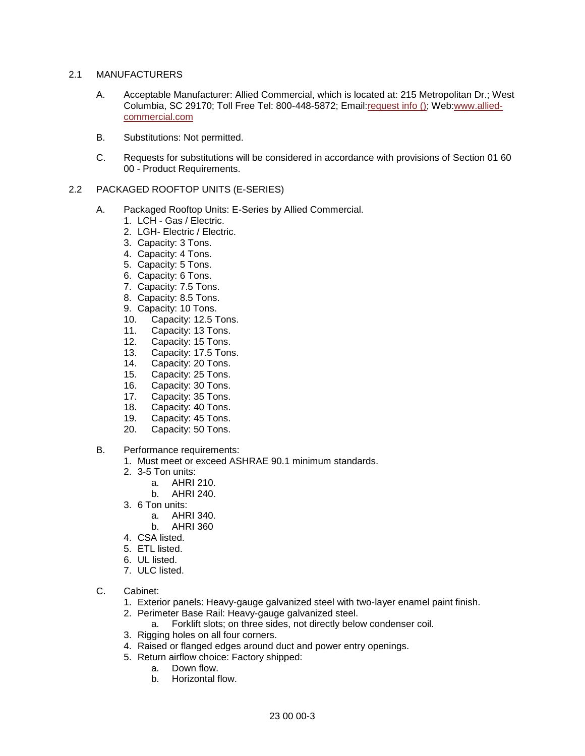### 2.1 MANUFACTURERS

- A. Acceptable Manufacturer: Allied Commercial, which is located at: 215 Metropolitan Dr.; West Columbia, SC 29170; Toll Free Tel: 800-448-5872; Emai[l:request info \(\);](http://admin.arcat.com/users.pl?action=UserEmail&company=Allied+Commercial&coid=50077&rep=&fax=&message=RE:%20Spec%20Question%20(15711all):%20%20&mf=) Web[:www.allied](http://www.allied-commercial.com/)[commercial.com](http://www.allied-commercial.com/)
- B. Substitutions: Not permitted.
- C. Requests for substitutions will be considered in accordance with provisions of Section 01 60 00 - Product Requirements.

## 2.2 PACKAGED ROOFTOP UNITS (E-SERIES)

- A. Packaged Rooftop Units: E-Series by Allied Commercial.
	- 1. LCH Gas / Electric.
	- 2. LGH- Electric / Electric.
	- 3. Capacity: 3 Tons.
	- 4. Capacity: 4 Tons.
	- 5. Capacity: 5 Tons.
	- 6. Capacity: 6 Tons.
	- 7. Capacity: 7.5 Tons.
	- 8. Capacity: 8.5 Tons.
	- 9. Capacity: 10 Tons.
	- 10. Capacity: 12.5 Tons.
	- 11. Capacity: 13 Tons.
	- 12. Capacity: 15 Tons.
	- 13. Capacity: 17.5 Tons.
	- 14. Capacity: 20 Tons.
	- 15. Capacity: 25 Tons.
	- 16. Capacity: 30 Tons.
	- 17. Capacity: 35 Tons.
	- 18. Capacity: 40 Tons.
	- 19. Capacity: 45 Tons.
	- 20. Capacity: 50 Tons.
- B. Performance requirements:
	- 1. Must meet or exceed ASHRAE 90.1 minimum standards.
	- 2. 3-5 Ton units:
		- a. AHRI 210.
		- b. AHRI 240.
	- 3. 6 Ton units:
		- a. AHRI 340.
		- b. AHRI 360
	- 4. CSA listed.
	- 5. ETL listed.
	- 6. UL listed.
	- 7. ULC listed.
- C. Cabinet:
	- 1. Exterior panels: Heavy-gauge galvanized steel with two-layer enamel paint finish.
	- 2. Perimeter Base Rail: Heavy-gauge galvanized steel.
		- a. Forklift slots; on three sides, not directly below condenser coil.
	- 3. Rigging holes on all four corners.
	- 4. Raised or flanged edges around duct and power entry openings.
	- 5. Return airflow choice: Factory shipped:
		- a. Down flow.
		- b. Horizontal flow.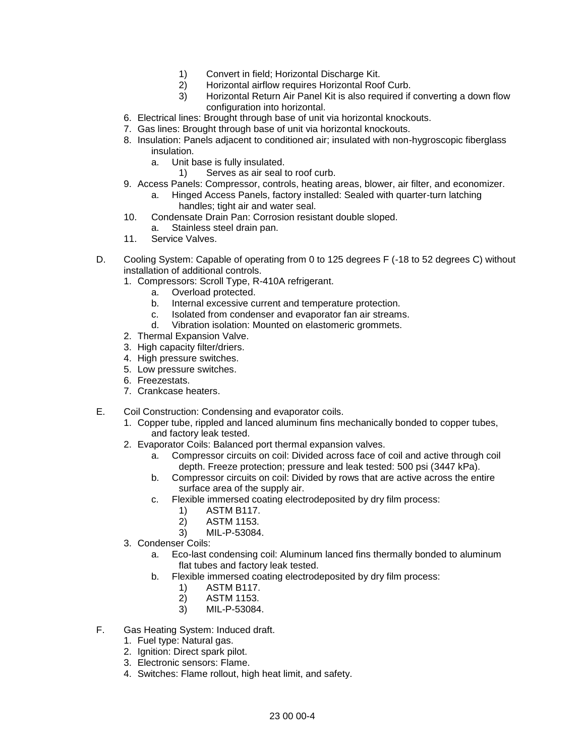- 1) Convert in field; Horizontal Discharge Kit.
- 2) Horizontal airflow requires Horizontal Roof Curb.
- 3) Horizontal Return Air Panel Kit is also required if converting a down flow configuration into horizontal.
- 6. Electrical lines: Brought through base of unit via horizontal knockouts.
- 7. Gas lines: Brought through base of unit via horizontal knockouts.
- 8. Insulation: Panels adjacent to conditioned air; insulated with non-hygroscopic fiberglass insulation.
	- a. Unit base is fully insulated.
		- 1) Serves as air seal to roof curb.
- 9. Access Panels: Compressor, controls, heating areas, blower, air filter, and economizer.
	- a. Hinged Access Panels, factory installed: Sealed with quarter-turn latching handles; tight air and water seal.
- 10. Condensate Drain Pan: Corrosion resistant double sloped.
	- a. Stainless steel drain pan.
- 11. Service Valves.
- D. Cooling System: Capable of operating from 0 to 125 degrees F (-18 to 52 degrees C) without installation of additional controls.
	- 1. Compressors: Scroll Type, R-410A refrigerant.
		- a. Overload protected.
		- b. Internal excessive current and temperature protection.
		- c. Isolated from condenser and evaporator fan air streams.
		- d. Vibration isolation: Mounted on elastomeric grommets.
	- 2. Thermal Expansion Valve.
	- 3. High capacity filter/driers.
	- 4. High pressure switches.
	- 5. Low pressure switches.
	- 6. Freezestats.
	- 7. Crankcase heaters.
- E. Coil Construction: Condensing and evaporator coils.
	- 1. Copper tube, rippled and lanced aluminum fins mechanically bonded to copper tubes, and factory leak tested.
	- 2. Evaporator Coils: Balanced port thermal expansion valves.
		- a. Compressor circuits on coil: Divided across face of coil and active through coil depth. Freeze protection; pressure and leak tested: 500 psi (3447 kPa).
		- b. Compressor circuits on coil: Divided by rows that are active across the entire surface area of the supply air.
		- c. Flexible immersed coating electrodeposited by dry film process:
			- 1) ASTM B117.
			- 2) ASTM 1153.
			- 3) MIL-P-53084.
	- 3. Condenser Coils:
		- a. Eco-last condensing coil: Aluminum lanced fins thermally bonded to aluminum flat tubes and factory leak tested.
		- b. Flexible immersed coating electrodeposited by dry film process:
			- 1) ASTM B117.
			- 2) ASTM 1153.
			- 3) MIL-P-53084.
- F. Gas Heating System: Induced draft.
	- 1. Fuel type: Natural gas.
	- 2. Ignition: Direct spark pilot.
	- 3. Electronic sensors: Flame.
	- 4. Switches: Flame rollout, high heat limit, and safety.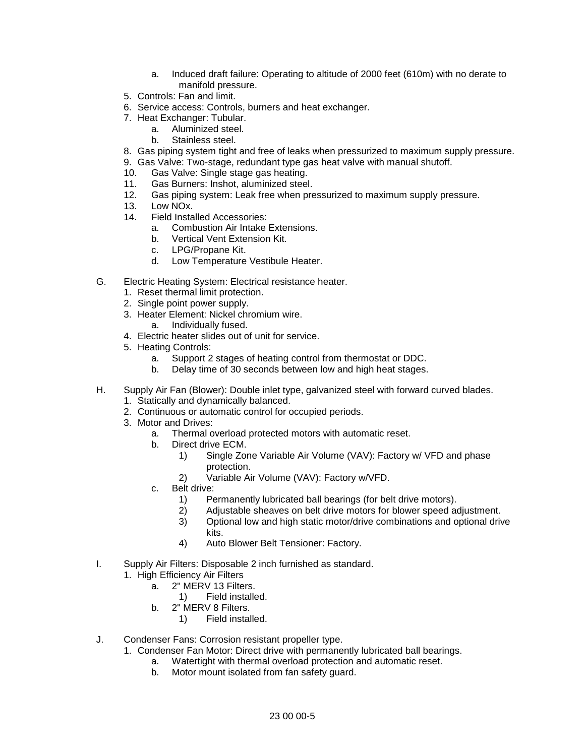- a. Induced draft failure: Operating to altitude of 2000 feet (610m) with no derate to manifold pressure.
- 5. Controls: Fan and limit.
- 6. Service access: Controls, burners and heat exchanger.
- 7. Heat Exchanger: Tubular.
	- a. Aluminized steel.
	- b. Stainless steel.
- 8. Gas piping system tight and free of leaks when pressurized to maximum supply pressure.
- 9. Gas Valve: Two-stage, redundant type gas heat valve with manual shutoff.
- 10. Gas Valve: Single stage gas heating.
- 11. Gas Burners: Inshot, aluminized steel.
- 12. Gas piping system: Leak free when pressurized to maximum supply pressure.
- 13. Low NOx.
- 14. Field Installed Accessories:
	- a. Combustion Air Intake Extensions.
	- b. Vertical Vent Extension Kit.
	- c. LPG/Propane Kit.<br>d. Low Temperature
	- Low Temperature Vestibule Heater.
- G. Electric Heating System: Electrical resistance heater.
	- 1. Reset thermal limit protection.
	- 2. Single point power supply.
	- 3. Heater Element: Nickel chromium wire.
		- a. Individually fused.
	- 4. Electric heater slides out of unit for service.
	- 5. Heating Controls:
		- a. Support 2 stages of heating control from thermostat or DDC.
		- b. Delay time of 30 seconds between low and high heat stages.
- H. Supply Air Fan (Blower): Double inlet type, galvanized steel with forward curved blades.
	- 1. Statically and dynamically balanced.
	- 2. Continuous or automatic control for occupied periods.
	- 3. Motor and Drives:
		- a. Thermal overload protected motors with automatic reset.
		- b. Direct drive ECM.
			- 1) Single Zone Variable Air Volume (VAV): Factory w/ VFD and phase protection.
			- 2) Variable Air Volume (VAV): Factory w/VFD.
		- c. Belt drive:
			- 1) Permanently lubricated ball bearings (for belt drive motors).
			- 2) Adjustable sheaves on belt drive motors for blower speed adjustment.
			- 3) Optional low and high static motor/drive combinations and optional drive kits.
			- 4) Auto Blower Belt Tensioner: Factory.
- I. Supply Air Filters: Disposable 2 inch furnished as standard.
	- 1. High Efficiency Air Filters
		- a. 2" MERV 13 Filters.
			- 1) Field installed.
		- b. 2" MERV 8 Filters.
			- 1) Field installed.
- J. Condenser Fans: Corrosion resistant propeller type.
	- 1. Condenser Fan Motor: Direct drive with permanently lubricated ball bearings.
		- a. Watertight with thermal overload protection and automatic reset.
		- b. Motor mount isolated from fan safety guard.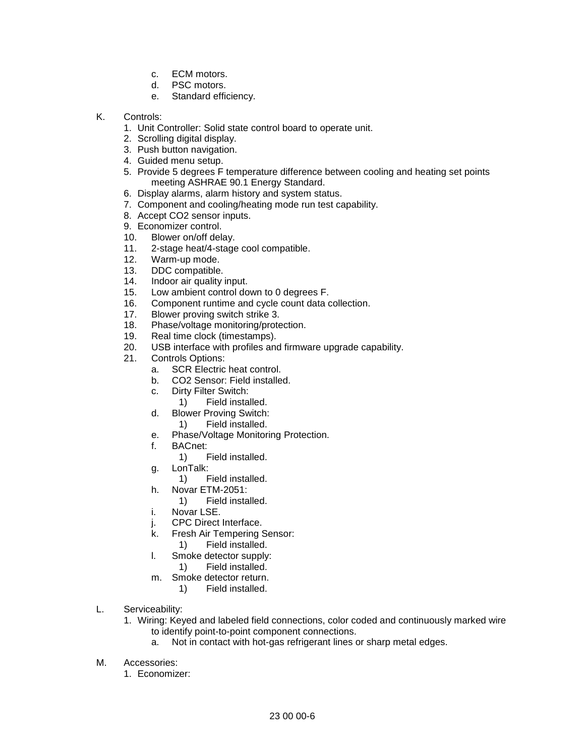- c. ECM motors.
- d. PSC motors.
- e. Standard efficiency.
- K. Controls:
	- 1. Unit Controller: Solid state control board to operate unit.
	- 2. Scrolling digital display.
	- 3. Push button navigation.
	- 4. Guided menu setup.
	- 5. Provide 5 degrees F temperature difference between cooling and heating set points meeting ASHRAE 90.1 Energy Standard.
	- 6. Display alarms, alarm history and system status.
	- 7. Component and cooling/heating mode run test capability.
	- 8. Accept CO2 sensor inputs.
	- 9. Economizer control.
	- 10. Blower on/off delay.
	- 11. 2-stage heat/4-stage cool compatible.
	- 12. Warm-up mode.
	- 13. DDC compatible.
	- 14. Indoor air quality input.
	- 15. Low ambient control down to 0 degrees F.
	- 16. Component runtime and cycle count data collection.
	- 17. Blower proving switch strike 3.
	- 18. Phase/voltage monitoring/protection.
	- 19. Real time clock (timestamps).
	- 20. USB interface with profiles and firmware upgrade capability.
	- 21. Controls Options:
		- a. SCR Electric heat control.
		- b. CO2 Sensor: Field installed.
		- c. Dirty Filter Switch:
			- 1) Field installed.
		- d. Blower Proving Switch:
			- 1) Field installed.
		- e. Phase/Voltage Monitoring Protection.
		- f. BACnet:
			- 1) Field installed.
		- g. LonTalk:
			- 1) Field installed.
		- h. Novar ETM-2051:
		- 1) Field installed.
		- i. Novar LSE.
		- j. CPC Direct Interface.
		- k. Fresh Air Tempering Sensor:
			- 1) Field installed.
		- l. Smoke detector supply:
			- 1) Field installed.
		- m. Smoke detector return.
			- 1) Field installed.
- L. Serviceability:
	- 1. Wiring: Keyed and labeled field connections, color coded and continuously marked wire to identify point-to-point component connections.
		- a. Not in contact with hot-gas refrigerant lines or sharp metal edges.
- M. Accessories:
	- 1. Economizer: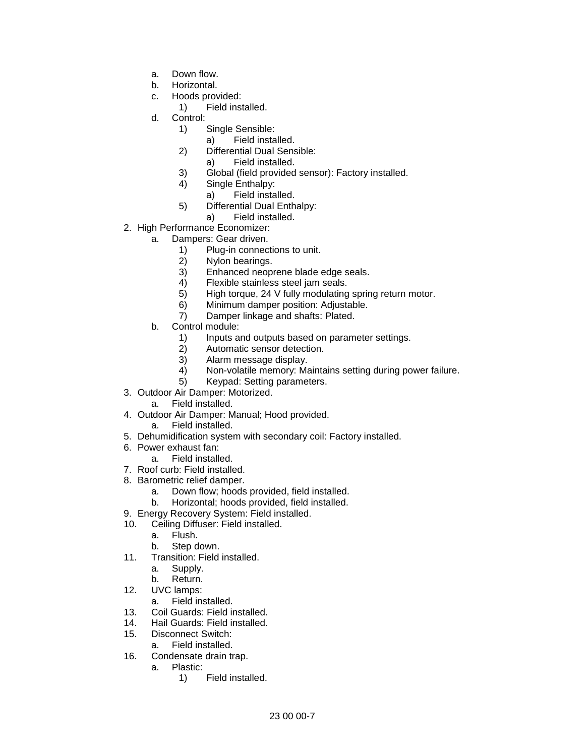- a. Down flow.
- b. Horizontal.
- c. Hoods provided:
	- 1) Field installed.
- d. Control:
	- 1) Single Sensible:
		- a) Field installed.
	- 2) Differential Dual Sensible:
		- a) Field installed.
	- 3) Global (field provided sensor): Factory installed.
	- 4) Single Enthalpy:
		- a) Field installed.
	- 5) Differential Dual Enthalpy:
	- a) Field installed.
- 2. High Performance Economizer:
	- a. Dampers: Gear driven.
		- 1) Plug-in connections to unit.
		- 2) Nylon bearings.<br>3) Enhanced neop
		- Enhanced neoprene blade edge seals.
		- 4) Flexible stainless steel jam seals.
		- 5) High torque, 24 V fully modulating spring return motor.
		- 6) Minimum damper position: Adjustable.
		- 7) Damper linkage and shafts: Plated.
		- b. Control module:
			- 1) Inputs and outputs based on parameter settings.
			- 2) Automatic sensor detection.
			- 3) Alarm message display.
			- 4) Non-volatile memory: Maintains setting during power failure.
			- 5) Keypad: Setting parameters.
- 3. Outdoor Air Damper: Motorized.
	- a. Field installed.
- 4. Outdoor Air Damper: Manual; Hood provided.
	- a. Field installed.
- 5. Dehumidification system with secondary coil: Factory installed.
- 6. Power exhaust fan:
	- a. Field installed.
- 7. Roof curb: Field installed.
- 8. Barometric relief damper.
	- a. Down flow; hoods provided, field installed.
	- b. Horizontal; hoods provided, field installed.
- 9. Energy Recovery System: Field installed.
- 10. Ceiling Diffuser: Field installed.
	- a. Flush.
	- b. Step down.
- 11. Transition: Field installed.
	- a. Supply.
	- b. Return.
- 12. UVC lamps:
	- a. Field installed.
- 13. Coil Guards: Field installed.
- 14. Hail Guards: Field installed.
- 15. Disconnect Switch:
- a. Field installed.
- 16. Condensate drain trap.
	- a. Plastic:
		- 1) Field installed.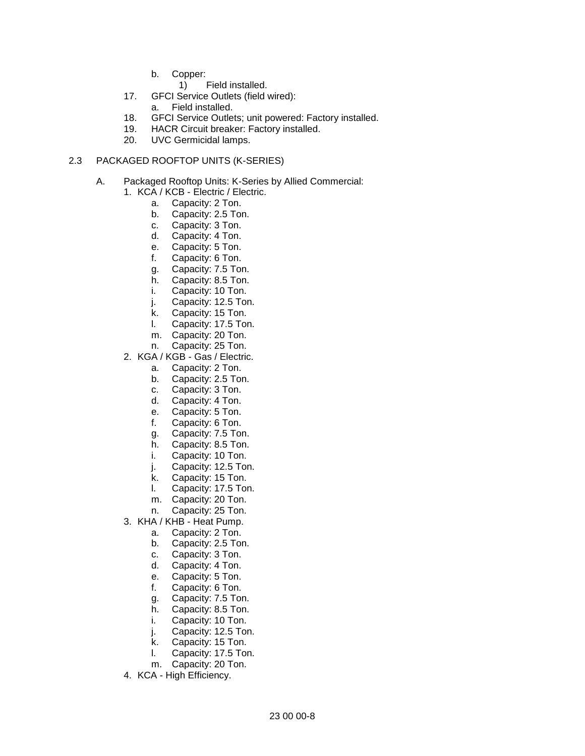- b. Copper:
	- 1) Field installed.
- 17. GFCI Service Outlets (field wired):
	- a. Field installed.
- 18. GFCI Service Outlets; unit powered: Factory installed.
- 19. HACR Circuit breaker: Factory installed.
- 20. UVC Germicidal lamps.

### 2.3 PACKAGED ROOFTOP UNITS (K-SERIES)

- A. Packaged Rooftop Units: K-Series by Allied Commercial:
	- 1. KCA / KCB Electric / Electric.
		- a. Capacity: 2 Ton.
		- b. Capacity: 2.5 Ton.
		- c. Capacity: 3 Ton.
		- d. Capacity: 4 Ton.
		- e. Capacity: 5 Ton.
		- f. Capacity: 6 Ton.
		- g. Capacity: 7.5 Ton.
		- h. Capacity: 8.5 Ton.
		- i. Capacity: 10 Ton.
		- j. Capacity: 12.5 Ton.
		- k. Capacity: 15 Ton.
		- l. Capacity: 17.5 Ton.
		- m. Capacity: 20 Ton.
		- n. Capacity: 25 Ton.
	- 2. KGA / KGB Gas / Electric.
		- a. Capacity: 2 Ton.
		- b. Capacity: 2.5 Ton.
		- c. Capacity: 3 Ton.
		- d. Capacity: 4 Ton.
		- e. Capacity: 5 Ton.
		- f. Capacity: 6 Ton.
		- g. Capacity: 7.5 Ton.
		- h. Capacity: 8.5 Ton.
		- i. Capacity: 10 Ton.
		- j. Capacity: 12.5 Ton.
		- k. Capacity: 15 Ton.
		- l. Capacity: 17.5 Ton.
		- m. Capacity: 20 Ton.
		- n. Capacity: 25 Ton.
	- 3. KHA / KHB Heat Pump.
		- a. Capacity: 2 Ton.
		- b. Capacity: 2.5 Ton.
		- c. Capacity: 3 Ton.
		- d. Capacity: 4 Ton.
		- e. Capacity: 5 Ton.
		- f. Capacity: 6 Ton.
		- g. Capacity: 7.5 Ton.
		- h. Capacity: 8.5 Ton.
		- i. Capacity: 10 Ton.
		- j. Capacity: 12.5 Ton.
		- k. Capacity: 15 Ton.
		- l. Capacity: 17.5 Ton.
		- m. Capacity: 20 Ton.
	- 4. KCA High Efficiency.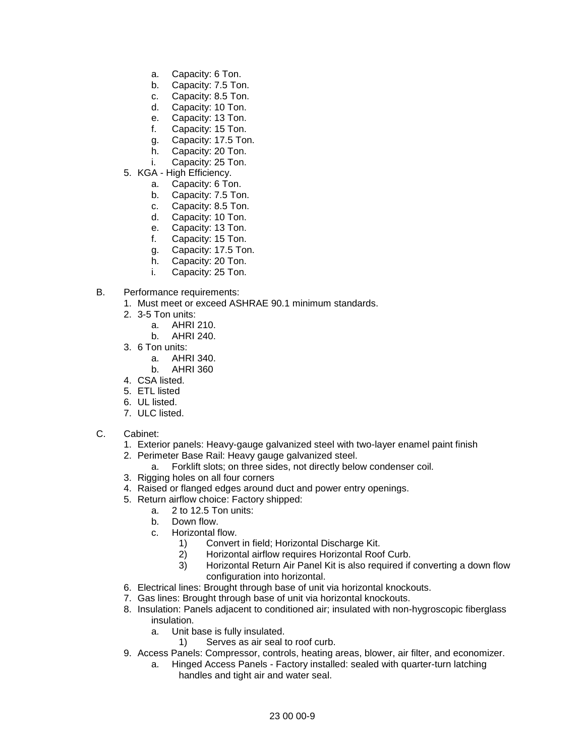- a. Capacity: 6 Ton.
- b. Capacity: 7.5 Ton.
- c. Capacity: 8.5 Ton.
- d. Capacity: 10 Ton.
- e. Capacity: 13 Ton.
- f. Capacity: 15 Ton.
- g. Capacity: 17.5 Ton.
- h. Capacity: 20 Ton.
- i. Capacity: 25 Ton.
- 5. KGA High Efficiency.
	- a. Capacity: 6 Ton.
	- b. Capacity: 7.5 Ton.
	- c. Capacity: 8.5 Ton.
	- d. Capacity: 10 Ton.
	- e. Capacity: 13 Ton.
	- f. Capacity: 15 Ton.
	- g. Capacity: 17.5 Ton.
	- h. Capacity: 20 Ton.
	- i. Capacity: 25 Ton.
- B. Performance requirements:
	- 1. Must meet or exceed ASHRAE 90.1 minimum standards.
	- 2. 3-5 Ton units:
		- a. AHRI 210.
		- b. AHRI 240.
	- 3. 6 Ton units:
		- a. AHRI 340.
		- b. AHRI 360
	- 4. CSA listed.
	- 5. ETL listed
	- 6. UL listed.
	- 7. ULC listed.
- C. Cabinet:
	- 1. Exterior panels: Heavy-gauge galvanized steel with two-layer enamel paint finish
	- 2. Perimeter Base Rail: Heavy gauge galvanized steel.
		- a. Forklift slots; on three sides, not directly below condenser coil.
	- 3. Rigging holes on all four corners
	- 4. Raised or flanged edges around duct and power entry openings.
	- 5. Return airflow choice: Factory shipped:
		- a. 2 to 12.5 Ton units:
		- b. Down flow.
		- c. Horizontal flow.
			- 1) Convert in field; Horizontal Discharge Kit.
			- 2) Horizontal airflow requires Horizontal Roof Curb.
			- 3) Horizontal Return Air Panel Kit is also required if converting a down flow configuration into horizontal.
	- 6. Electrical lines: Brought through base of unit via horizontal knockouts.
	- 7. Gas lines: Brought through base of unit via horizontal knockouts.
	- 8. Insulation: Panels adjacent to conditioned air; insulated with non-hygroscopic fiberglass insulation.
		- a. Unit base is fully insulated.
			- 1) Serves as air seal to roof curb.
	- 9. Access Panels: Compressor, controls, heating areas, blower, air filter, and economizer.
		- a. Hinged Access Panels Factory installed: sealed with quarter-turn latching handles and tight air and water seal.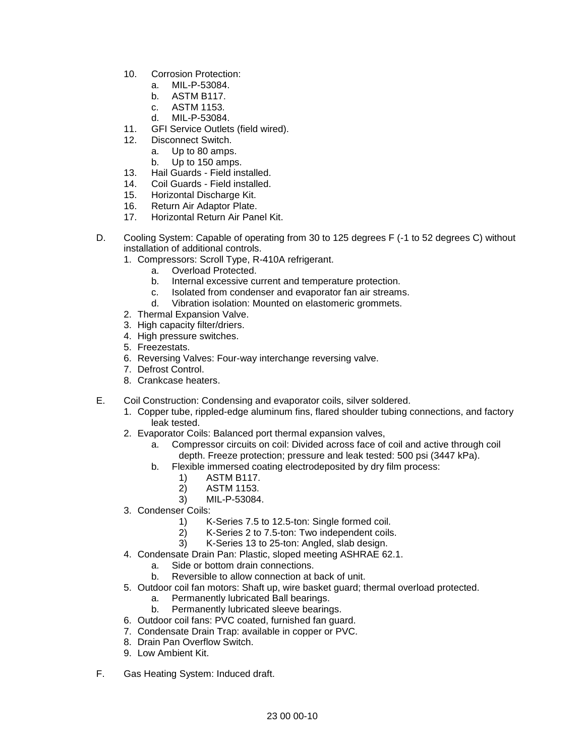- 10. Corrosion Protection:
	- a. MIL-P-53084.
	- b. ASTM B117.
	- c. ASTM 1153.
	- d. MIL-P-53084.
- 11. GFI Service Outlets (field wired).
- 12. Disconnect Switch.
	- a. Up to 80 amps.
	- b. Up to 150 amps.
- 13. Hail Guards Field installed.
- 14. Coil Guards Field installed.
- 15. Horizontal Discharge Kit.<br>16. Return Air Adaptor Plate.
- Return Air Adaptor Plate.
- 17. Horizontal Return Air Panel Kit.
- D. Cooling System: Capable of operating from 30 to 125 degrees F (-1 to 52 degrees C) without installation of additional controls.
	- 1. Compressors: Scroll Type, R-410A refrigerant.
		- a. Overload Protected.
		- b. Internal excessive current and temperature protection.
		- c. Isolated from condenser and evaporator fan air streams.
		- d. Vibration isolation: Mounted on elastomeric grommets.
	- 2. Thermal Expansion Valve.
	- 3. High capacity filter/driers.
	- 4. High pressure switches.
	- 5. Freezestats.
	- 6. Reversing Valves: Four-way interchange reversing valve.
	- 7. Defrost Control.
	- 8. Crankcase heaters.
- E. Coil Construction: Condensing and evaporator coils, silver soldered.
	- 1. Copper tube, rippled-edge aluminum fins, flared shoulder tubing connections, and factory leak tested.
	- 2. Evaporator Coils: Balanced port thermal expansion valves,
		- a. Compressor circuits on coil: Divided across face of coil and active through coil depth. Freeze protection; pressure and leak tested: 500 psi (3447 kPa).
		- b. Flexible immersed coating electrodeposited by dry film process:
			-
			- 1) ASTM B117.<br>2) ASTM 1153. 2) ASTM 1153.
			- 3) MIL-P-53084.
	- 3. Condenser Coils:
		- 1) K-Series 7.5 to 12.5-ton: Single formed coil.
		- 2) K-Series 2 to 7.5-ton: Two independent coils.
		- 3) K-Series 13 to 25-ton: Angled, slab design.
	- 4. Condensate Drain Pan: Plastic, sloped meeting ASHRAE 62.1.
		- a. Side or bottom drain connections.
		- b. Reversible to allow connection at back of unit.
	- 5. Outdoor coil fan motors: Shaft up, wire basket guard; thermal overload protected.
		- a. Permanently lubricated Ball bearings.
		- b. Permanently lubricated sleeve bearings.
	- 6. Outdoor coil fans: PVC coated, furnished fan guard.
	- 7. Condensate Drain Trap: available in copper or PVC.
	- 8. Drain Pan Overflow Switch.
	- 9. Low Ambient Kit.
- F. Gas Heating System: Induced draft.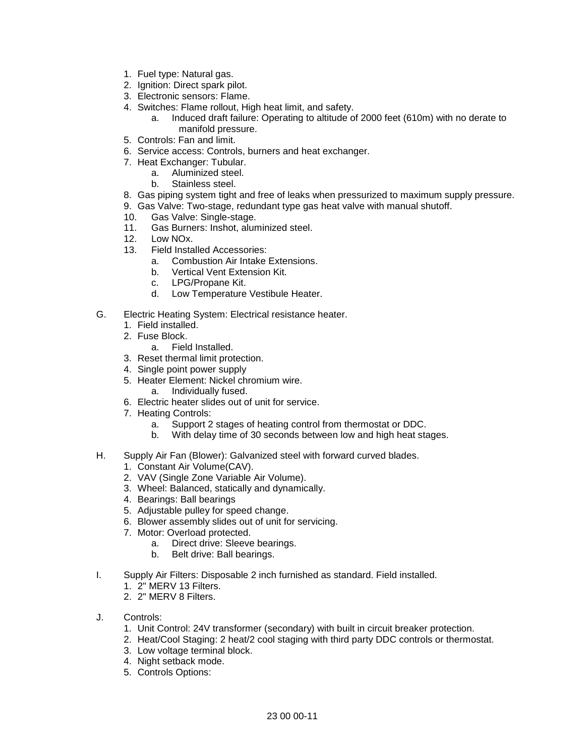- 1. Fuel type: Natural gas.
- 2. Ignition: Direct spark pilot.
- 3. Electronic sensors: Flame.
- 4. Switches: Flame rollout, High heat limit, and safety.
	- a. Induced draft failure: Operating to altitude of 2000 feet (610m) with no derate to manifold pressure.
- 5. Controls: Fan and limit.
- 6. Service access: Controls, burners and heat exchanger.
- 7. Heat Exchanger: Tubular.
	- a. Aluminized steel.
	- b. Stainless steel.
- 8. Gas piping system tight and free of leaks when pressurized to maximum supply pressure.
- 9. Gas Valve: Two-stage, redundant type gas heat valve with manual shutoff.
- 10. Gas Valve: Single-stage.
- 11. Gas Burners: Inshot, aluminized steel.
- 12. Low NOx.
- 13. Field Installed Accessories:
	- a. Combustion Air Intake Extensions.
	- b. Vertical Vent Extension Kit.
	- c. LPG/Propane Kit.
	- d. Low Temperature Vestibule Heater.
- G. Electric Heating System: Electrical resistance heater.
	- 1. Field installed.
	- 2. Fuse Block.
		- a. Field Installed.
	- 3. Reset thermal limit protection.
	- 4. Single point power supply
	- 5. Heater Element: Nickel chromium wire.
		- a. Individually fused.
	- 6. Electric heater slides out of unit for service.
	- 7. Heating Controls:
		- a. Support 2 stages of heating control from thermostat or DDC.
		- b. With delay time of 30 seconds between low and high heat stages.
- H. Supply Air Fan (Blower): Galvanized steel with forward curved blades.
	- 1. Constant Air Volume(CAV).
	- 2. VAV (Single Zone Variable Air Volume).
	- 3. Wheel: Balanced, statically and dynamically.
	- 4. Bearings: Ball bearings
	- 5. Adjustable pulley for speed change.
	- 6. Blower assembly slides out of unit for servicing.
	- 7. Motor: Overload protected.
		- a. Direct drive: Sleeve bearings.
		- b. Belt drive: Ball bearings.
- I. Supply Air Filters: Disposable 2 inch furnished as standard. Field installed.
	- 1. 2" MERV 13 Filters.
	- 2. 2" MERV 8 Filters.
- J. Controls:
	- 1. Unit Control: 24V transformer (secondary) with built in circuit breaker protection.
	- 2. Heat/Cool Staging: 2 heat/2 cool staging with third party DDC controls or thermostat.
	- 3. Low voltage terminal block.
	- 4. Night setback mode.
	- 5. Controls Options: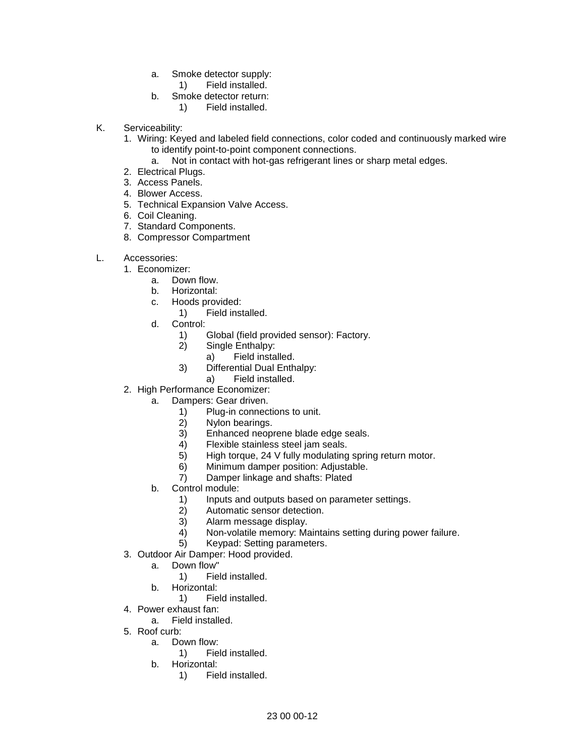- a. Smoke detector supply:
	- 1) Field installed.
- b. Smoke detector return:
	- 1) Field installed.
- K. Serviceability:
	- 1. Wiring: Keyed and labeled field connections, color coded and continuously marked wire to identify point-to-point component connections.
		- a. Not in contact with hot-gas refrigerant lines or sharp metal edges.
	- 2. Electrical Plugs.
	- 3. Access Panels.
	- 4. Blower Access.
	- 5. Technical Expansion Valve Access.
	- 6. Coil Cleaning.
	- 7. Standard Components.
	- 8. Compressor Compartment
- L. Accessories:
	- 1. Economizer:
		- a. Down flow.
		- b. Horizontal:
		- c. Hoods provided:
			- 1) Field installed.
		- d. Control:
			- 1) Global (field provided sensor): Factory.
			- 2) Single Enthalpy:
				- a) Field installed.
			- 3) Differential Dual Enthalpy:
				- a) Field installed.
	- 2. High Performance Economizer:
		- a. Dampers: Gear driven.
			- 1) Plug-in connections to unit.<br>2) Nylon bearings.
			- Nylon bearings.
			- 3) Enhanced neoprene blade edge seals.
			- 4) Flexible stainless steel jam seals.
			- 5) High torque, 24 V fully modulating spring return motor.
			- 6) Minimum damper position: Adjustable.
			- 7) Damper linkage and shafts: Plated
		- b. Control module:
			- 1) Inputs and outputs based on parameter settings.
			- 2) Automatic sensor detection.
			- 3) Alarm message display.
			- 4) Non-volatile memory: Maintains setting during power failure.
			- 5) Keypad: Setting parameters.
	- 3. Outdoor Air Damper: Hood provided.
		- a. Down flow"
			- 1) Field installed.
		- b. Horizontal:
			- 1) Field installed.
	- 4. Power exhaust fan:
		- a. Field installed.
	- 5. Roof curb:
		- a. Down flow:
			- 1) Field installed.
		- b. Horizontal:
			- 1) Field installed.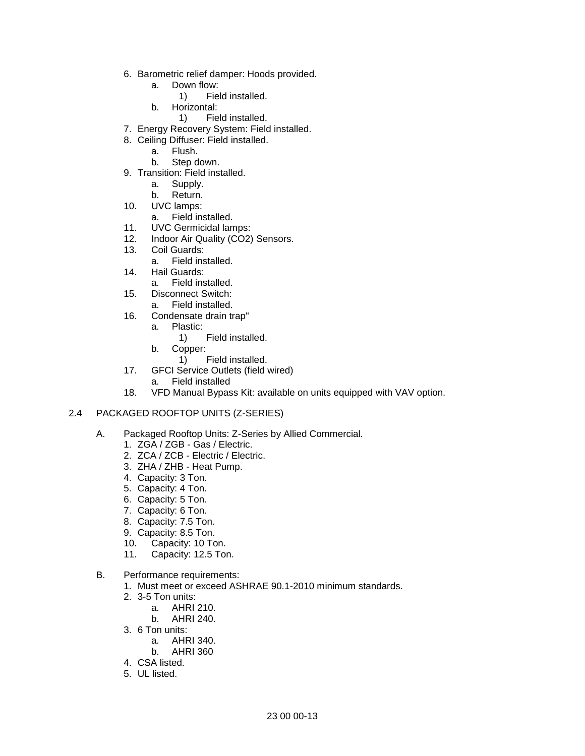- 6. Barometric relief damper: Hoods provided.
	- a. Down flow:
		- 1) Field installed.
	- b. Horizontal:
		- 1) Field installed.
- 7. Energy Recovery System: Field installed.
- 8. Ceiling Diffuser: Field installed.
	- a. Flush.
		- b. Step down.
- 9. Transition: Field installed.
	- a. Supply.
	- b. Return.
- 10. UVC lamps:
	- a. Field installed.
- 11. UVC Germicidal lamps:
- 12. Indoor Air Quality (CO2) Sensors.
- 13. Coil Guards:
	- a. Field installed.
- 14. Hail Guards:
	- a. Field installed.
- 15. Disconnect Switch:
	- a. Field installed.
- 16. Condensate drain trap"
	- a. Plastic:
		- 1) Field installed.
	- b. Copper:
		- 1) Field installed.
- 17. GFCI Service Outlets (field wired)
	- a. Field installed
- 18. VFD Manual Bypass Kit: available on units equipped with VAV option.

#### 2.4 PACKAGED ROOFTOP UNITS (Z-SERIES)

- A. Packaged Rooftop Units: Z-Series by Allied Commercial.
	- 1. ZGA / ZGB Gas / Electric.
	- 2. ZCA / ZCB Electric / Electric.
	- 3. ZHA / ZHB Heat Pump.
	- 4. Capacity: 3 Ton.
	- 5. Capacity: 4 Ton.
	- 6. Capacity: 5 Ton.
	- 7. Capacity: 6 Ton.
	- 8. Capacity: 7.5 Ton.
	- 9. Capacity: 8.5 Ton.
	- 10. Capacity: 10 Ton.
	- 11. Capacity: 12.5 Ton.
- B. Performance requirements:
	- 1. Must meet or exceed ASHRAE 90.1-2010 minimum standards.
	- 2. 3-5 Ton units:
		- a. AHRI 210.
		- b. AHRI 240.
	- 3. 6 Ton units:
		- a. AHRI 340.
		- b. AHRI 360
	- 4. CSA listed.
	- 5. UL listed.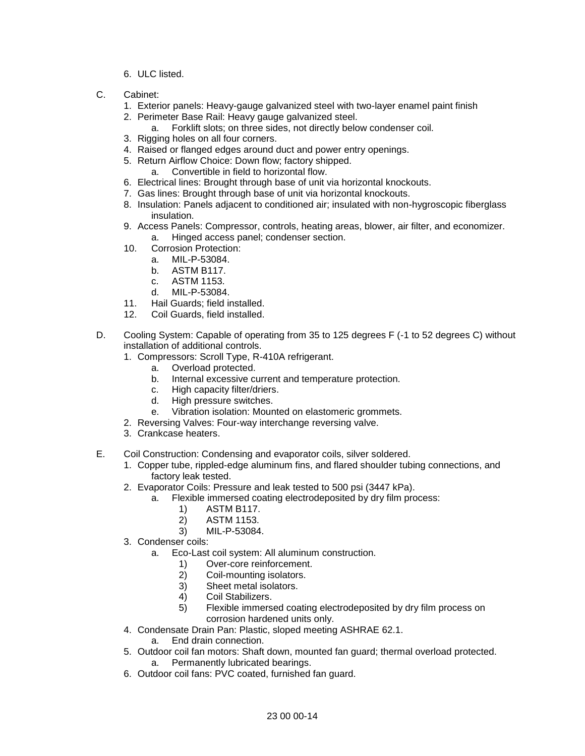- 6. ULC listed.
- C. Cabinet:
	- 1. Exterior panels: Heavy-gauge galvanized steel with two-layer enamel paint finish
	- 2. Perimeter Base Rail: Heavy gauge galvanized steel.
		- a. Forklift slots; on three sides, not directly below condenser coil.
	- 3. Rigging holes on all four corners.
	- 4. Raised or flanged edges around duct and power entry openings.
	- 5. Return Airflow Choice: Down flow; factory shipped.
		- a. Convertible in field to horizontal flow.
	- 6. Electrical lines: Brought through base of unit via horizontal knockouts.
	- 7. Gas lines: Brought through base of unit via horizontal knockouts.
	- 8. Insulation: Panels adjacent to conditioned air; insulated with non-hygroscopic fiberglass insulation.
	- 9. Access Panels: Compressor, controls, heating areas, blower, air filter, and economizer. a. Hinged access panel; condenser section.
	- 10. Corrosion Protection:
		- a. MIL-P-53084.
		- b. ASTM B117.
		- c. ASTM 1153.
		- d. MIL-P-53084.
	- 11. Hail Guards; field installed.
	- 12. Coil Guards, field installed.
- D. Cooling System: Capable of operating from 35 to 125 degrees F (-1 to 52 degrees C) without installation of additional controls.
	- 1. Compressors: Scroll Type, R-410A refrigerant.
		- a. Overload protected.
		- b. Internal excessive current and temperature protection.
		- c. High capacity filter/driers.
		- d. High pressure switches.
		- e. Vibration isolation: Mounted on elastomeric grommets.
	- 2. Reversing Valves: Four-way interchange reversing valve.
	- 3. Crankcase heaters.
- E. Coil Construction: Condensing and evaporator coils, silver soldered.
	- 1. Copper tube, rippled-edge aluminum fins, and flared shoulder tubing connections, and factory leak tested.
	- 2. Evaporator Coils: Pressure and leak tested to 500 psi (3447 kPa).
		- a. Flexible immersed coating electrodeposited by dry film process:
			- 1) ASTM B117.
			- 2) ASTM 1153.
			- 3) MIL-P-53084.
	- 3. Condenser coils:
		- a. Eco-Last coil system: All aluminum construction.
			- 1) Over-core reinforcement.
			- 2) Coil-mounting isolators.
			- 3) Sheet metal isolators.
			- 4) Coil Stabilizers.
			- 5) Flexible immersed coating electrodeposited by dry film process on corrosion hardened units only.
	- 4. Condensate Drain Pan: Plastic, sloped meeting ASHRAE 62.1.
		- a. End drain connection.
	- 5. Outdoor coil fan motors: Shaft down, mounted fan guard; thermal overload protected. a. Permanently lubricated bearings.
	- 6. Outdoor coil fans: PVC coated, furnished fan guard.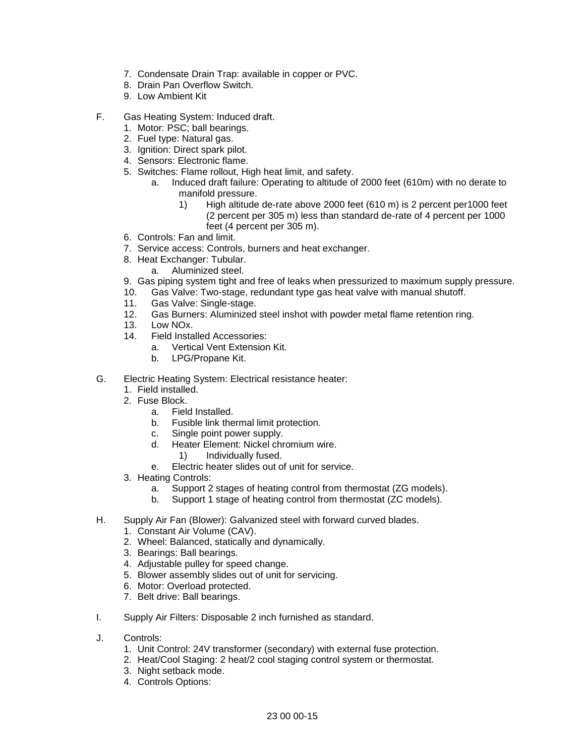- 7. Condensate Drain Trap: available in copper or PVC.
- 8. Drain Pan Overflow Switch.
- 9. Low Ambient Kit
- F. Gas Heating System: Induced draft.
	- 1. Motor: PSC; ball bearings.
	- 2. Fuel type: Natural gas.
	- 3. Ignition: Direct spark pilot.
	- 4. Sensors: Electronic flame.
	- 5. Switches: Flame rollout, High heat limit, and safety.
		- a. Induced draft failure: Operating to altitude of 2000 feet (610m) with no derate to manifold pressure.
			- 1) High altitude de-rate above 2000 feet (610 m) is 2 percent per1000 feet (2 percent per 305 m) less than standard de-rate of 4 percent per 1000 feet (4 percent per 305 m).
	- 6. Controls: Fan and limit.
	- 7. Service access: Controls, burners and heat exchanger.
	- 8. Heat Exchanger: Tubular.
		- a. Aluminized steel.
	- 9. Gas piping system tight and free of leaks when pressurized to maximum supply pressure.
	- 10. Gas Valve: Two-stage, redundant type gas heat valve with manual shutoff.
	- 11. Gas Valve: Single-stage.
	- 12. Gas Burners: Aluminized steel inshot with powder metal flame retention ring.
	- 13. Low NOx.
	- 14. Field Installed Accessories:
		- a. Vertical Vent Extension Kit.
		- b. LPG/Propane Kit.
- G. Electric Heating System: Electrical resistance heater:
	- 1. Field installed.
	- 2. Fuse Block.
		- a. Field Installed.<br>b. Fusible link the
		- Fusible link thermal limit protection.
		- c. Single point power supply.
		- d. Heater Element: Nickel chromium wire.
			- 1) Individually fused.
		- e. Electric heater slides out of unit for service.
	- 3. Heating Controls:
		- a. Support 2 stages of heating control from thermostat (ZG models).
		- b. Support 1 stage of heating control from thermostat (ZC models).
- H. Supply Air Fan (Blower): Galvanized steel with forward curved blades.
	- 1. Constant Air Volume (CAV).
	- 2. Wheel: Balanced, statically and dynamically.
	- 3. Bearings: Ball bearings.
	- 4. Adjustable pulley for speed change.
	- 5. Blower assembly slides out of unit for servicing.
	- 6. Motor: Overload protected.
	- 7. Belt drive: Ball bearings.
- I. Supply Air Filters: Disposable 2 inch furnished as standard.
- J. Controls:
	- 1. Unit Control: 24V transformer (secondary) with external fuse protection.
	- 2. Heat/Cool Staging: 2 heat/2 cool staging control system or thermostat.
	- 3. Night setback mode.
	- 4. Controls Options: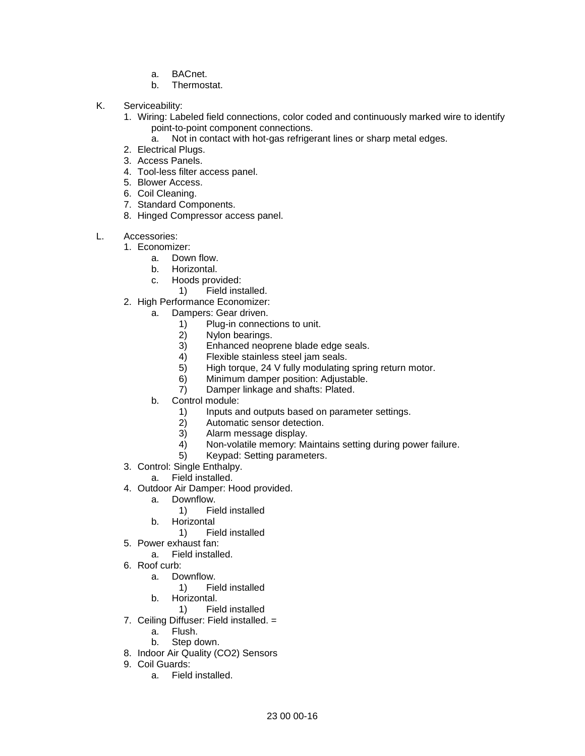- a. BACnet.
- b. Thermostat.
- K. Serviceability:
	- 1. Wiring: Labeled field connections, color coded and continuously marked wire to identify point-to-point component connections.
		- a. Not in contact with hot-gas refrigerant lines or sharp metal edges.
	- 2. Electrical Plugs.
	- 3. Access Panels.
	- 4. Tool-less filter access panel.
	- 5. Blower Access.
	- 6. Coil Cleaning.
	- 7. Standard Components.
	- 8. Hinged Compressor access panel.
- L. Accessories:
	- 1. Economizer:
		- a. Down flow.
		- b. Horizontal.
		- c. Hoods provided:
			- 1) Field installed.
	- 2. High Performance Economizer:
		- a. Dampers: Gear driven.
			- 1) Plug-in connections to unit.
			- 2) Nylon bearings.
			- 3) Enhanced neoprene blade edge seals.<br>4) Flexible stainless steel jam seals.
			- 4) Flexible stainless steel jam seals.<br>5) High torque, 24 V fully modulating
			- High torque, 24 V fully modulating spring return motor.
			- 6) Minimum damper position: Adjustable.
			- 7) Damper linkage and shafts: Plated.
		- b. Control module:
			- 1) Inputs and outputs based on parameter settings.
			- 2) Automatic sensor detection.
			- 3) Alarm message display.
			- 4) Non-volatile memory: Maintains setting during power failure.
			- 5) Keypad: Setting parameters.
	- 3. Control: Single Enthalpy.
		- a. Field installed.
	- 4. Outdoor Air Damper: Hood provided.
		- a. Downflow.
			- 1) Field installed
		- b. Horizontal
			- 1) Field installed
	- 5. Power exhaust fan:
		- a. Field installed.
	- 6. Roof curb:
		- a. Downflow.
			- 1) Field installed
		- b. Horizontal.
			- 1) Field installed
	- 7. Ceiling Diffuser: Field installed. =
		- a. Flush.
		- b. Step down.
	- 8. Indoor Air Quality (CO2) Sensors
	- 9. Coil Guards:
		- a. Field installed.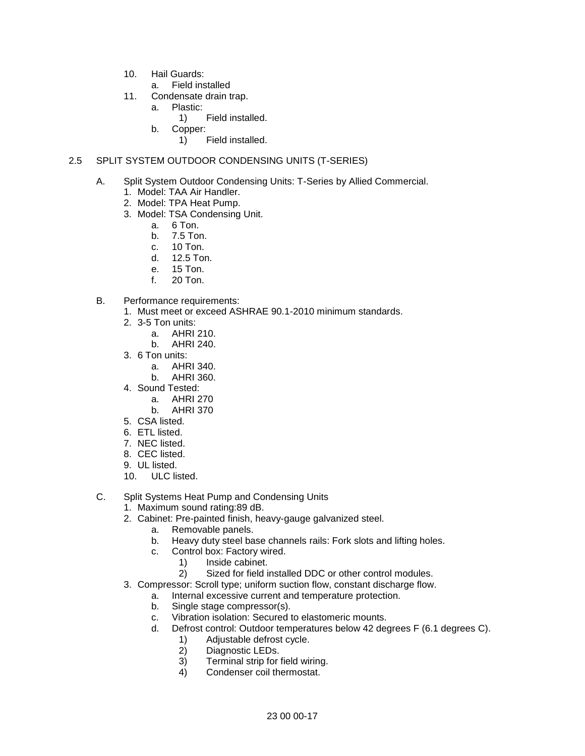- 10. Hail Guards:
	- a. Field installed
- 11. Condensate drain trap.
	- a. Plastic:
		- 1) Field installed.
	- b. Copper:
		- 1) Field installed.

## 2.5 SPLIT SYSTEM OUTDOOR CONDENSING UNITS (T-SERIES)

- A. Split System Outdoor Condensing Units: T-Series by Allied Commercial.
	- 1. Model: TAA Air Handler.
	- 2. Model: TPA Heat Pump.
	- 3. Model: TSA Condensing Unit.
		- a. 6 Ton.
		- b. 7.5 Ton.
		- c. 10 Ton.
		- d. 12.5 Ton.
		- e. 15 Ton.
		- f. 20 Ton.
- B. Performance requirements:
	- 1. Must meet or exceed ASHRAE 90.1-2010 minimum standards.
	- 2. 3-5 Ton units:
		- a. AHRI 210.
		- b. AHRI 240.
	- 3. 6 Ton units:
		- a. AHRI 340.
		- b. AHRI 360.
	- 4. Sound Tested:
		- a. AHRI 270
		- b. AHRI 370
	- 5. CSA listed.
	- 6. ETL listed.
	- 7. NEC listed.
	- 8. CEC listed.
	- 9. UL listed.
	- 10. ULC listed.
- C. Split Systems Heat Pump and Condensing Units
	- 1. Maximum sound rating:89 dB.
	- 2. Cabinet: Pre-painted finish, heavy-gauge galvanized steel.
		- a. Removable panels.
		- b. Heavy duty steel base channels rails: Fork slots and lifting holes.
		- c. Control box: Factory wired.
			- 1) Inside cabinet.
				- 2) Sized for field installed DDC or other control modules.
	- 3. Compressor: Scroll type; uniform suction flow, constant discharge flow.
		- a. Internal excessive current and temperature protection.
		- b. Single stage compressor(s).
		- c. Vibration isolation: Secured to elastomeric mounts.
		- d. Defrost control: Outdoor temperatures below 42 degrees F (6.1 degrees C).
			- 1) Adjustable defrost cycle.<br>2) Diagnostic LEDs.
			- Diagnostic LEDs.
			- 3) Terminal strip for field wiring.
			- 4) Condenser coil thermostat.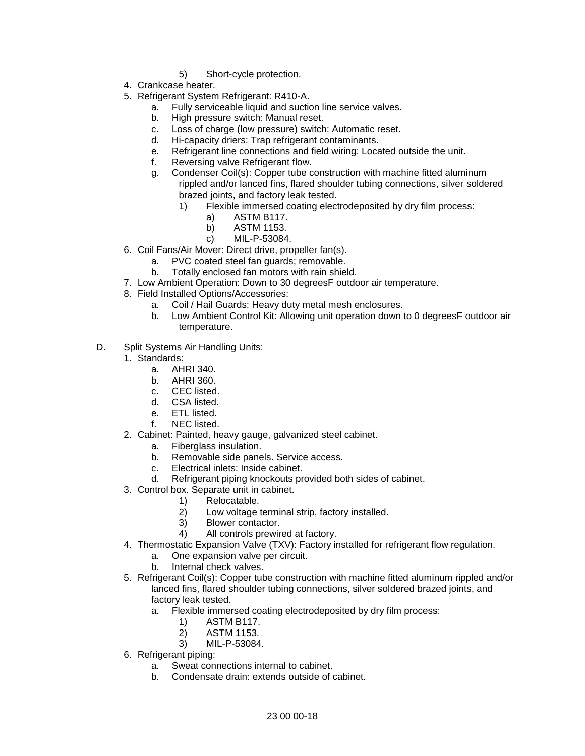- 5) Short-cycle protection.
- 4. Crankcase heater.
- 5. Refrigerant System Refrigerant: R410-A.
	- a. Fully serviceable liquid and suction line service valves.
	- b. High pressure switch: Manual reset.
	- c. Loss of charge (low pressure) switch: Automatic reset.
	- d. Hi-capacity driers: Trap refrigerant contaminants.
	- e. Refrigerant line connections and field wiring: Located outside the unit.
	- f. Reversing valve Refrigerant flow.
	- g. Condenser Coil(s): Copper tube construction with machine fitted aluminum rippled and/or lanced fins, flared shoulder tubing connections, silver soldered brazed joints, and factory leak tested.
		- 1) Flexible immersed coating electrodeposited by dry film process:
			- a) ASTM B117.
			- b) ASTM 1153.
			- c) MIL-P-53084.
- 6. Coil Fans/Air Mover: Direct drive, propeller fan(s).
	- a. PVC coated steel fan guards; removable.
	- b. Totally enclosed fan motors with rain shield.
- 7. Low Ambient Operation: Down to 30 degreesF outdoor air temperature.
- 8. Field Installed Options/Accessories:
	- a. Coil / Hail Guards: Heavy duty metal mesh enclosures.
	- b. Low Ambient Control Kit: Allowing unit operation down to 0 degreesF outdoor air temperature.
- D. Split Systems Air Handling Units:
	- 1. Standards:
		- a. AHRI 340.
		- b. AHRI 360.
		- c. CEC listed.
		- d. CSA listed.
		- e. ETL listed.
		- f. NEC listed.
	- 2. Cabinet: Painted, heavy gauge, galvanized steel cabinet.
		- a. Fiberglass insulation.
		- b. Removable side panels. Service access.
		- c. Electrical inlets: Inside cabinet.
		- d. Refrigerant piping knockouts provided both sides of cabinet.
	- 3. Control box. Separate unit in cabinet.
		- 1) Relocatable.
			- 2) Low voltage terminal strip, factory installed.
			- 3) Blower contactor.
			- 4) All controls prewired at factory.
	- 4. Thermostatic Expansion Valve (TXV): Factory installed for refrigerant flow regulation.
		- a. One expansion valve per circuit.
		- b. Internal check valves.
	- 5. Refrigerant Coil(s): Copper tube construction with machine fitted aluminum rippled and/or lanced fins, flared shoulder tubing connections, silver soldered brazed joints, and factory leak tested.
		- a. Flexible immersed coating electrodeposited by dry film process:
			- 1) ASTM B117.
			- 2) ASTM 1153.
			- 3) MIL-P-53084.
	- 6. Refrigerant piping:
		- a. Sweat connections internal to cabinet.
		- b. Condensate drain: extends outside of cabinet.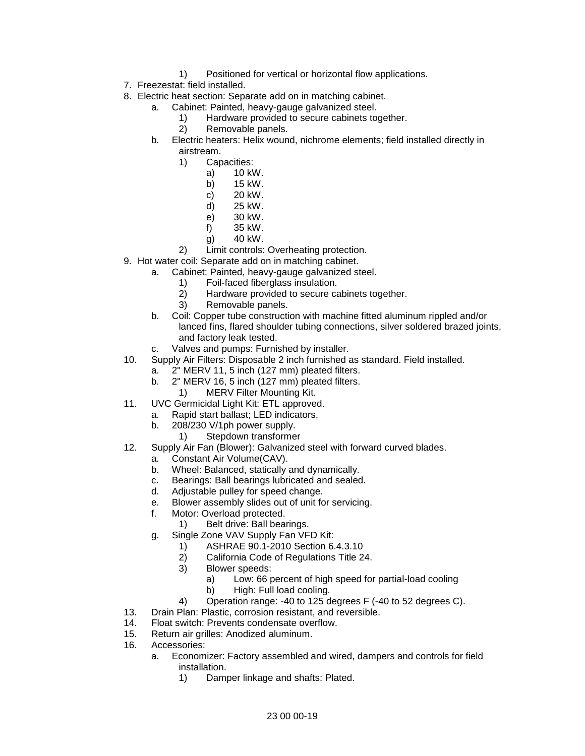- 1) Positioned for vertical or horizontal flow applications.
- 7. Freezestat: field installed.
- 8. Electric heat section: Separate add on in matching cabinet.
	- a. Cabinet: Painted, heavy-gauge galvanized steel.
		- 1) Hardware provided to secure cabinets together.
		- 2) Removable panels.
	- b. Electric heaters: Helix wound, nichrome elements; field installed directly in airstream.
		- 1) Capacities:
			- a) 10 kW.
			- b) 15 kW.
			- c) 20 kW.
			- d) 25 kW.
			- e) 30 kW.
			- f) 35 kW.
			- g) 40 kW.
- 2) Limit controls: Overheating protection. 9. Hot water coil: Separate add on in matching cabinet.
	- a. Cabinet: Painted, heavy-gauge galvanized steel.
		-
		- 1) Foil-faced fiberglass insulation.<br>2) Hardware provided to secure ca Hardware provided to secure cabinets together.
		- 3) Removable panels.
		- b. Coil: Copper tube construction with machine fitted aluminum rippled and/or lanced fins, flared shoulder tubing connections, silver soldered brazed joints, and factory leak tested.
		- c. Valves and pumps: Furnished by installer.
- 10. Supply Air Filters: Disposable 2 inch furnished as standard. Field installed.
	- a. 2" MERV 11, 5 inch (127 mm) pleated filters.
		- b. 2" MERV 16, 5 inch (127 mm) pleated filters.
			- 1) MERV Filter Mounting Kit.
- 11. UVC Germicidal Light Kit: ETL approved.
	- a. Rapid start ballast; LED indicators.
	- b. 208/230 V/1ph power supply.
		- 1) Stepdown transformer
- 12. Supply Air Fan (Blower): Galvanized steel with forward curved blades.
	- a. Constant Air Volume(CAV).
	- b. Wheel: Balanced, statically and dynamically.
	- c. Bearings: Ball bearings lubricated and sealed.
	- d. Adjustable pulley for speed change.
	- e. Blower assembly slides out of unit for servicing.
	- f. Motor: Overload protected.
		- 1) Belt drive: Ball bearings.
	- g. Single Zone VAV Supply Fan VFD Kit:
		- 1) ASHRAE 90.1-2010 Section 6.4.3.10
		- 2) California Code of Regulations Title 24.
		- 3) Blower speeds:
			- a) Low: 66 percent of high speed for partial-load cooling
			- b) High: Full load cooling.
		- 4) Operation range: -40 to 125 degrees F (-40 to 52 degrees C).
- 13. Drain Plan: Plastic, corrosion resistant, and reversible.
- 14. Float switch: Prevents condensate overflow.
- 15. Return air grilles: Anodized aluminum.
- 16. Accessories:
	- a. Economizer: Factory assembled and wired, dampers and controls for field installation.
		- 1) Damper linkage and shafts: Plated.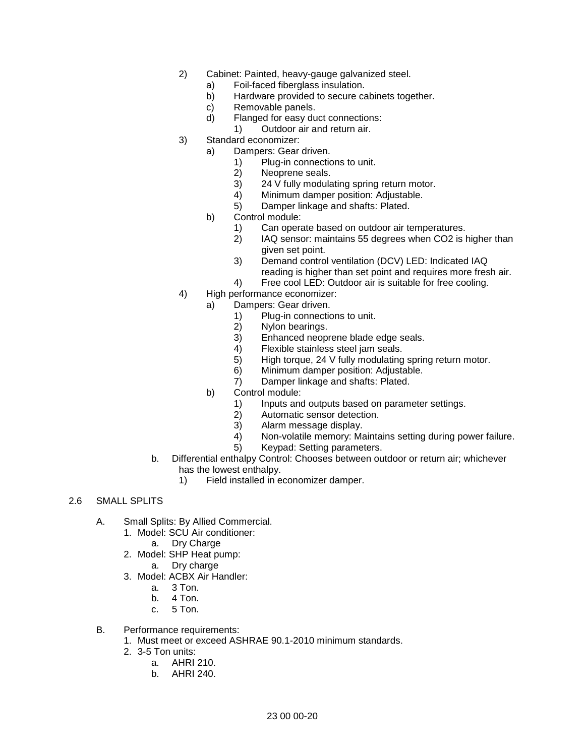- 2) Cabinet: Painted, heavy-gauge galvanized steel.
	- a) Foil-faced fiberglass insulation.
	- b) Hardware provided to secure cabinets together.
	- c) Removable panels.
	- d) Flanged for easy duct connections:
		- 1) Outdoor air and return air.
- 3) Standard economizer:
	- a) Dampers: Gear driven.
		- 1) Plug-in connections to unit.
		- 2) Neoprene seals.
		- 3) 24 V fully modulating spring return motor.<br>4) Minimum damper position: Adiustable.
		- 4) Minimum damper position: Adjustable.<br>5) Damper linkage and shafts: Plated.
		- Damper linkage and shafts: Plated.
		- b) Control module:
			- 1) Can operate based on outdoor air temperatures.
			- 2) IAQ sensor: maintains 55 degrees when CO2 is higher than given set point.
			- 3) Demand control ventilation (DCV) LED: Indicated IAQ
			- reading is higher than set point and requires more fresh air. 4) Free cool LED: Outdoor air is suitable for free cooling.
- 4) High performance economizer:
	- a) Dampers: Gear driven.
		- 1) Plug-in connections to unit.<br>2) Nylon bearings.
		-
		- 2) Nylon bearings.<br>3) Enhanced neop 3) Enhanced neoprene blade edge seals.
		- 4) Flexible stainless steel jam seals.
		- 5) High torque, 24 V fully modulating spring return motor.
		- 6) Minimum damper position: Adjustable.
		- 7) Damper linkage and shafts: Plated.
	- b) Control module:
		- 1) Inputs and outputs based on parameter settings.
			- 2) Automatic sensor detection.
			- 3) Alarm message display.
			- 4) Non-volatile memory: Maintains setting during power failure.
			- 5) Keypad: Setting parameters.
- b. Differential enthalpy Control: Chooses between outdoor or return air; whichever has the lowest enthalpy.
	- 1) Field installed in economizer damper.
- 2.6 SMALL SPLITS
	- A. Small Splits: By Allied Commercial.
		- 1. Model: SCU Air conditioner:
			- a. Dry Charge
		- 2. Model: SHP Heat pump:
			- a. Dry charge
		- 3. Model: ACBX Air Handler:
			- a. 3 Ton.
			- b. 4 Ton.
			- c. 5 Ton.
	- B. Performance requirements:
		- 1. Must meet or exceed ASHRAE 90.1-2010 minimum standards.
		- 2. 3-5 Ton units:
			- a. AHRI 210.
			- b. AHRI 240.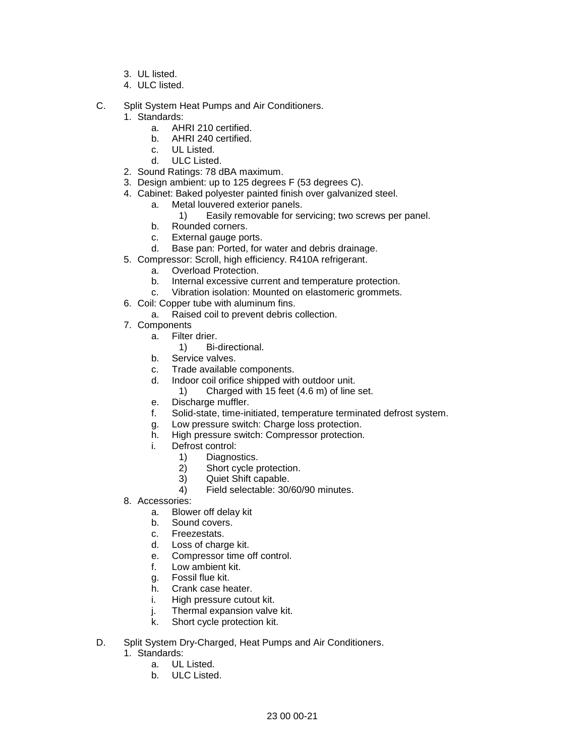- 3. UL listed.
- 4. ULC listed.
- C. Split System Heat Pumps and Air Conditioners.
	- 1. Standards:
		- a. AHRI 210 certified.
		- b. AHRI 240 certified.
		- c. UL Listed.
		- d. ULC Listed.
	- 2. Sound Ratings: 78 dBA maximum.
	- 3. Design ambient: up to 125 degrees F (53 degrees C).
	- 4. Cabinet: Baked polyester painted finish over galvanized steel.
		- a. Metal louvered exterior panels.
			- 1) Easily removable for servicing; two screws per panel.
		- b. Rounded corners.
		- c. External gauge ports.
		- d. Base pan: Ported, for water and debris drainage.
	- 5. Compressor: Scroll, high efficiency. R410A refrigerant.
		- a. Overload Protection.
		- b. Internal excessive current and temperature protection.
		- c. Vibration isolation: Mounted on elastomeric grommets.
	- 6. Coil: Copper tube with aluminum fins.
		- a. Raised coil to prevent debris collection.
	- 7. Components
		- a. Filter drier.
			- 1) Bi-directional.
		- b. Service valves.
		- c. Trade available components.
		- d. Indoor coil orifice shipped with outdoor unit.
			- 1) Charged with 15 feet (4.6 m) of line set.
		- e. Discharge muffler.
		- f. Solid-state, time-initiated, temperature terminated defrost system.
		- g. Low pressure switch: Charge loss protection.
		- h. High pressure switch: Compressor protection.
		- i. Defrost control:
			- 1) Diagnostics.<br>2) Short cycle p
				- Short cycle protection.
				- 3) Quiet Shift capable.
				- 4) Field selectable: 30/60/90 minutes.
	- 8. Accessories:
		- a. Blower off delay kit
		- b. Sound covers.<br>c. Freezestats.
		- Freezestats.
		- d. Loss of charge kit.
		- e. Compressor time off control.
		- f. Low ambient kit.
		- g. Fossil flue kit.
		- h. Crank case heater.
		- i. High pressure cutout kit.
		- j. Thermal expansion valve kit.
		- k. Short cycle protection kit.
- D. Split System Dry-Charged, Heat Pumps and Air Conditioners.
	- 1. Standards:
		- a. UL Listed.
		- b. ULC Listed.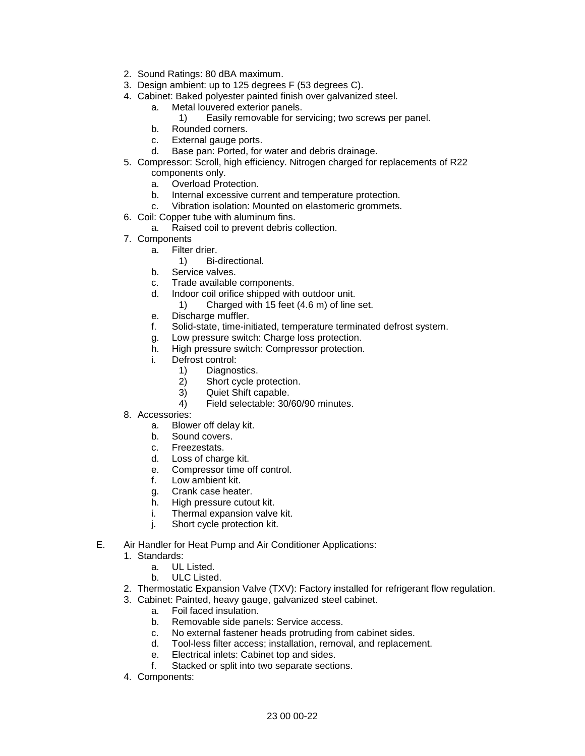- 2. Sound Ratings: 80 dBA maximum.
- 3. Design ambient: up to 125 degrees F (53 degrees C).
- 4. Cabinet: Baked polyester painted finish over galvanized steel.
	- a. Metal louvered exterior panels.
		- 1) Easily removable for servicing; two screws per panel.
	- b. Rounded corners.
	- c. External gauge ports.
	- d. Base pan: Ported, for water and debris drainage.
- 5. Compressor: Scroll, high efficiency. Nitrogen charged for replacements of R22 components only.
	- a. Overload Protection.
	- b. Internal excessive current and temperature protection.
	- c. Vibration isolation: Mounted on elastomeric grommets.
- 6. Coil: Copper tube with aluminum fins.
	- a. Raised coil to prevent debris collection.
- 7. Components
	- a. Filter drier.
		- 1) Bi-directional.
	- b. Service valves.
	- c. Trade available components.
	- d. Indoor coil orifice shipped with outdoor unit.
		- 1) Charged with 15 feet (4.6 m) of line set.
	- e. Discharge muffler.
	- f. Solid-state, time-initiated, temperature terminated defrost system.
	- g. Low pressure switch: Charge loss protection.
	- h. High pressure switch: Compressor protection.
	- i. Defrost control:
		- 1) Diagnostics.
		- 2) Short cycle protection.
		- 3) Quiet Shift capable.
		- 4) Field selectable: 30/60/90 minutes.
- 8. Accessories:
	- a. Blower off delay kit.
	- b. Sound covers.
	- c. Freezestats.<br>d. Loss of chard
	- Loss of charge kit.
	- e. Compressor time off control.
	- f. Low ambient kit.
	- g. Crank case heater.
	- h. High pressure cutout kit.
	- i. Thermal expansion valve kit.
	- j. Short cycle protection kit.
- E. Air Handler for Heat Pump and Air Conditioner Applications:
	- 1. Standards:
		- a. UL Listed.
		- b. ULC Listed.
	- 2. Thermostatic Expansion Valve (TXV): Factory installed for refrigerant flow regulation.
	- 3. Cabinet: Painted, heavy gauge, galvanized steel cabinet.
		- a. Foil faced insulation.
		- b. Removable side panels: Service access.
		- c. No external fastener heads protruding from cabinet sides.
		- d. Tool-less filter access; installation, removal, and replacement.
		- e. Electrical inlets: Cabinet top and sides.
		- f. Stacked or split into two separate sections.
	- 4. Components: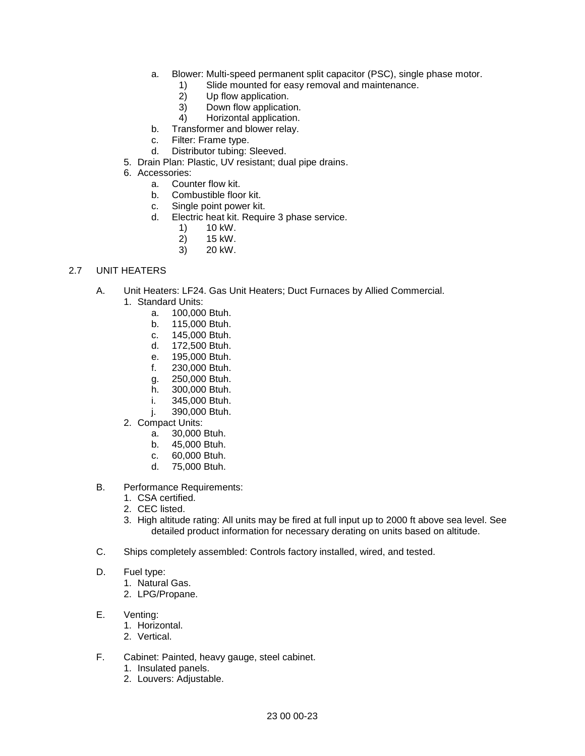- a. Blower: Multi-speed permanent split capacitor (PSC), single phase motor.
	- 1) Slide mounted for easy removal and maintenance.<br>2) Up flow application.
	- Up flow application.
	- 3) Down flow application.
	- 4) Horizontal application.
- b. Transformer and blower relay.<br>c. Filter: Frame type.
- Filter: Frame type.
- d. Distributor tubing: Sleeved.
- 5. Drain Plan: Plastic, UV resistant; dual pipe drains.
- 6. Accessories:
	- a. Counter flow kit.
	- b. Combustible floor kit.
	- c. Single point power kit.
	- d. Electric heat kit. Require 3 phase service.
		- 1) 10 kW.
		- 2) 15 kW.
		- 3) 20 kW.

# 2.7 UNIT HEATERS

- A. Unit Heaters: LF24. Gas Unit Heaters; Duct Furnaces by Allied Commercial.
	- 1. Standard Units:
		- a. 100,000 Btuh.
		- b. 115,000 Btuh.
		- c. 145,000 Btuh.
		- d. 172,500 Btuh.
		- e. 195,000 Btuh.<br>f. 230,000 Btuh.
		- 230,000 Btuh.
		- g. 250,000 Btuh.
		- h. 300,000 Btuh.
		- i. 345,000 Btuh.
		- j. 390,000 Btuh.
	- 2. Compact Units:
		- a. 30,000 Btuh.
		- b. 45,000 Btuh.
		- c. 60,000 Btuh.
		- d. 75,000 Btuh.
- B. Performance Requirements:
	- 1. CSA certified.
	- 2. CEC listed.
	- 3. High altitude rating: All units may be fired at full input up to 2000 ft above sea level. See detailed product information for necessary derating on units based on altitude.
- C. Ships completely assembled: Controls factory installed, wired, and tested.
- D. Fuel type:
	- 1. Natural Gas.
	- 2. LPG/Propane.
- E. Venting:
	- 1. Horizontal.
	- 2. Vertical.
- F. Cabinet: Painted, heavy gauge, steel cabinet.
	- 1. Insulated panels.
	- 2. Louvers: Adjustable.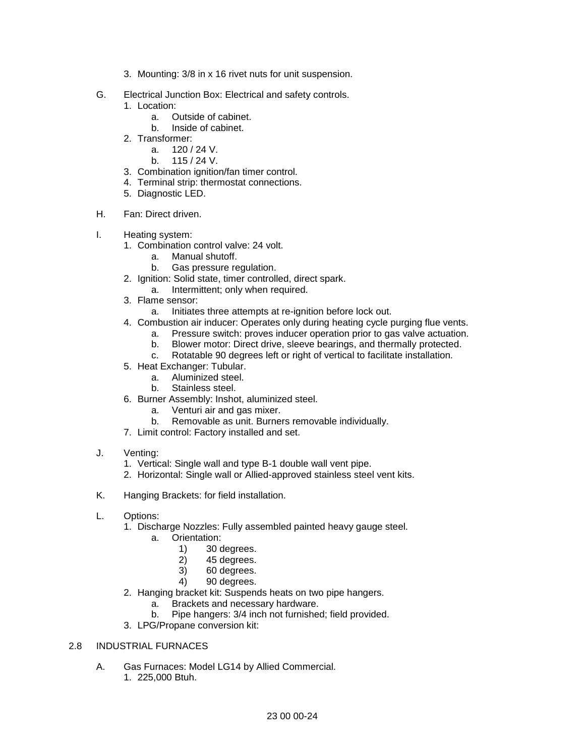- 3. Mounting: 3/8 in x 16 rivet nuts for unit suspension.
- G. Electrical Junction Box: Electrical and safety controls.
	- 1. Location:
		- a. Outside of cabinet.
		- b. Inside of cabinet.
	- 2. Transformer:
		- a. 120 / 24 V.
		- b. 115 / 24 V.
	- 3. Combination ignition/fan timer control.
	- 4. Terminal strip: thermostat connections.
	- 5. Diagnostic LED.
- H. Fan: Direct driven.
- I. Heating system:
	- 1. Combination control valve: 24 volt.
		- a. Manual shutoff.
		- b. Gas pressure regulation.
	- 2. Ignition: Solid state, timer controlled, direct spark.
		- a. Intermittent; only when required.
	- 3. Flame sensor:
		- a. Initiates three attempts at re-ignition before lock out.
	- 4. Combustion air inducer: Operates only during heating cycle purging flue vents.
		- a. Pressure switch: proves inducer operation prior to gas valve actuation.
		- b. Blower motor: Direct drive, sleeve bearings, and thermally protected.
		- c. Rotatable 90 degrees left or right of vertical to facilitate installation.
	- 5. Heat Exchanger: Tubular.
		- a. Aluminized steel.
		- b. Stainless steel.
	- 6. Burner Assembly: Inshot, aluminized steel.
		- a. Venturi air and gas mixer.
		- b. Removable as unit. Burners removable individually.
	- 7. Limit control: Factory installed and set.
- J. Venting:
	- 1. Vertical: Single wall and type B-1 double wall vent pipe.
	- 2. Horizontal: Single wall or Allied-approved stainless steel vent kits.
- K. Hanging Brackets: for field installation.
- L. Options:
	- 1. Discharge Nozzles: Fully assembled painted heavy gauge steel.
		- a. Orientation:
			- 1) 30 degrees.<br>2) 45 degrees.
			- 45 degrees.
			- 3) 60 degrees.
			- 4) 90 degrees.
	- 2. Hanging bracket kit: Suspends heats on two pipe hangers.
		- a. Brackets and necessary hardware.
		- b. Pipe hangers: 3/4 inch not furnished; field provided.
	- 3. LPG/Propane conversion kit:

# 2.8 INDUSTRIAL FURNACES

A. Gas Furnaces: Model LG14 by Allied Commercial. 1. 225,000 Btuh.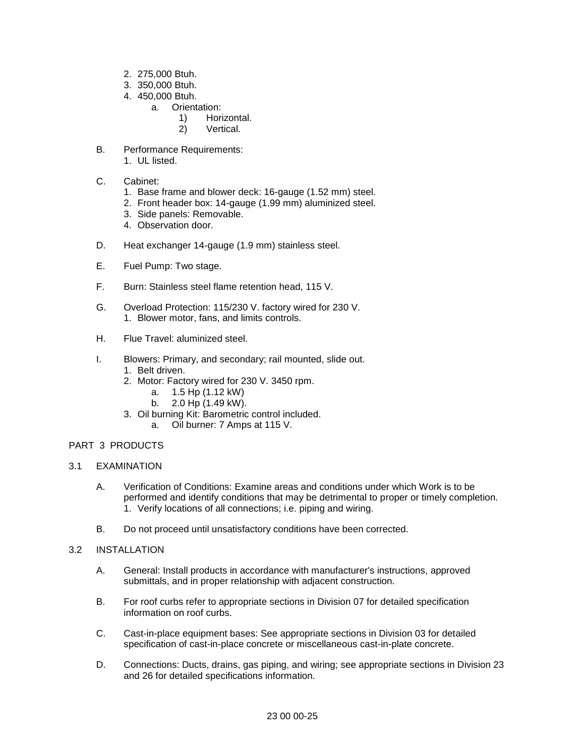- 2. 275,000 Btuh.
- 3. 350,000 Btuh.
- 4. 450,000 Btuh.
	- a. Orientation:
		- 1) Horizontal.
		- 2) Vertical.
- B. Performance Requirements: 1. UL listed.
- C. Cabinet:
	- 1. Base frame and blower deck: 16-gauge (1.52 mm) steel.
	- 2. Front header box: 14-gauge (1.99 mm) aluminized steel.
	- 3. Side panels: Removable.
	- 4. Observation door.
- D. Heat exchanger 14-gauge (1.9 mm) stainless steel.
- E. Fuel Pump: Two stage.
- F. Burn: Stainless steel flame retention head, 115 V.
- G. Overload Protection: 115/230 V. factory wired for 230 V. 1. Blower motor, fans, and limits controls.
- H. Flue Travel: aluminized steel.
- I. Blowers: Primary, and secondary; rail mounted, slide out.
	- 1. Belt driven.
	- 2. Motor: Factory wired for 230 V. 3450 rpm.
		- a. 1.5 Hp (1.12 kW)
		- b. 2.0 Hp (1.49 kW).
	- 3. Oil burning Kit: Barometric control included.
		- a. Oil burner: 7 Amps at 115 V.

# PART 3 PRODUCTS

- 3.1 EXAMINATION
	- A. Verification of Conditions: Examine areas and conditions under which Work is to be performed and identify conditions that may be detrimental to proper or timely completion. 1. Verify locations of all connections; i.e. piping and wiring.
	- B. Do not proceed until unsatisfactory conditions have been corrected.

#### 3.2 INSTALLATION

- A. General: Install products in accordance with manufacturer's instructions, approved submittals, and in proper relationship with adjacent construction.
- B. For roof curbs refer to appropriate sections in Division 07 for detailed specification information on roof curbs.
- C. Cast-in-place equipment bases: See appropriate sections in Division 03 for detailed specification of cast-in-place concrete or miscellaneous cast-in-plate concrete.
- D. Connections: Ducts, drains, gas piping, and wiring; see appropriate sections in Division 23 and 26 for detailed specifications information.